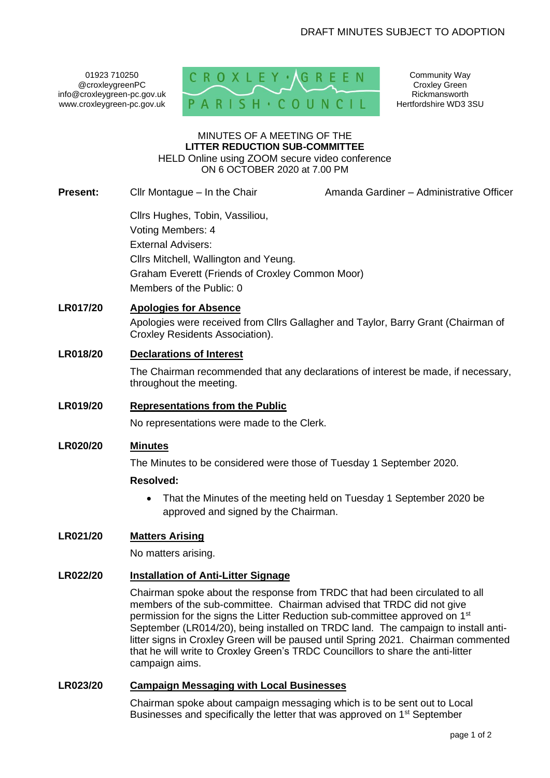01923 710250 @croxleygreenPC info@croxleygreen-pc.gov.uk www.croxleygreen-pc.gov.uk



Community Way Croxley Green Rickmansworth Hertfordshire WD3 3SU

#### MINUTES OF A MEETING OF THE **LITTER REDUCTION SUB-COMMITTEE** HELD Online using ZOOM secure video conference ON 6 OCTOBER 2020 at 7.00 PM

**Present:** Cllr Montague – In the Chair **Amanda Gardiner – Administrative Officer** 

Cllrs Hughes, Tobin, Vassiliou, Voting Members: 4 External Advisers: Cllrs Mitchell, Wallington and Yeung. Graham Everett (Friends of Croxley Common Moor) Members of the Public: 0

# **LR017/20 Apologies for Absence**

Apologies were received from Cllrs Gallagher and Taylor, Barry Grant (Chairman of Croxley Residents Association).

# **LR018/20 Declarations of Interest**

The Chairman recommended that any declarations of interest be made, if necessary, throughout the meeting.

### **LR019/20 Representations from the Public**

No representations were made to the Clerk.

### **LR020/20 Minutes**

The Minutes to be considered were those of Tuesday 1 September 2020.

### **Resolved:**

• That the Minutes of the meeting held on Tuesday 1 September 2020 be approved and signed by the Chairman.

### **LR021/20 Matters Arising**

No matters arising.

### **LR022/20 Installation of Anti-Litter Signage**

Chairman spoke about the response from TRDC that had been circulated to all members of the sub-committee. Chairman advised that TRDC did not give permission for the signs the Litter Reduction sub-committee approved on 1<sup>st</sup> September (LR014/20), being installed on TRDC land. The campaign to install antilitter signs in Croxley Green will be paused until Spring 2021. Chairman commented that he will write to Croxley Green's TRDC Councillors to share the anti-litter campaign aims.

## **LR023/20 Campaign Messaging with Local Businesses**

Chairman spoke about campaign messaging which is to be sent out to Local Businesses and specifically the letter that was approved on 1<sup>st</sup> September